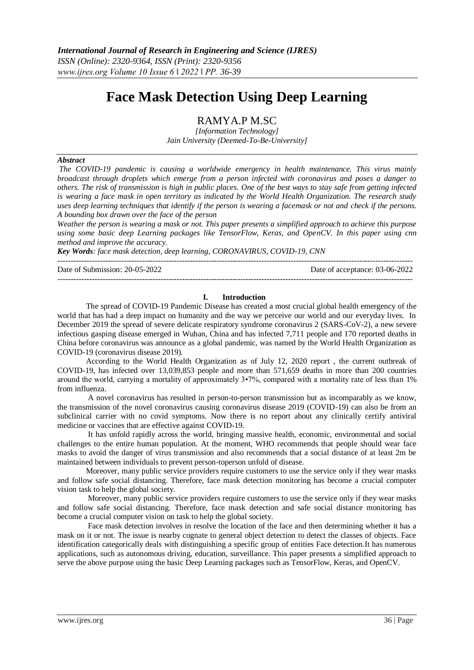# **Face Mask Detection Using Deep Learning**

RAMYA.P M.SC

*[Information Technology] Jain University (Deemed-To-Be-University]*

# *Abstract*

*The COVID-19 pandemic is causing a worldwide emergency in health maintenance. This virus mainly broadcast through droplets which emerge from a person infected with coronavirus and poses a danger to others. The risk of transmission is high in public places. One of the best ways to stay safe from getting infected is wearing a face mask in open territory as indicated by the World Health Organization. The research study uses deep learning techniques that identify if the person is wearing a facemask or not and check if the persons. A bounding box drawn over the face of the person* 

*Weather the person is wearing a mask or not. This paper presents a simplified approach to achieve this purpose using some basic deep Learning packages like TensorFlow, Keras, and OpenCV. In this paper using cnn method and improve the accuracy.*

*Key Words: face mask detection, deep learning, CORONAVIRUS, COVID-19, CNN*

Date of Submission: 20-05-2022 Date of acceptance: 03-06-2022

--------------------------------------------------------------------------------------------------------------------------------------

--------------------------------------------------------------------------------------------------------------------------------------

## **I. Introduction**

The spread of COVID-19 Pandemic Disease has created a most crucial global health emergency of the world that has had a deep impact on humanity and the way we perceive our world and our everyday lives. In December 2019 the spread of severe delicate respiratory syndrome coronavirus 2 (SARS-CoV-2), a new severe infectious gasping disease emerged in Wuhan, China and has infected 7,711 people and 170 reported deaths in China before coronavirus was announce as a global pandemic, was named by the World Health Organization as COVID-19 (coronavirus disease 2019).

According to the World Health Organization as of July 12, 2020 report , the current outbreak of COVID-19, has infected over 13,039,853 people and more than 571,659 deaths in more than 200 countries around the world, carrying a mortality of approximately 3•7%, compared with a mortality rate of less than 1% from influenza.

A novel coronavirus has resulted in person-to-person transmission but as incomparably as we know, the transmission of the novel coronavirus causing coronavirus disease 2019 (COVID-19) can also be from an subclinical carrier with no covid symptoms. Now there is no report about any clinically certify antiviral medicine or vaccines that are effective against COVID-19.

It has unfold rapidly across the world, bringing massive health, economic, environmental and social challenges to the entire human population. At the moment, WHO recommends that people should wear face masks to avoid the danger of virus transmission and also recommends that a social distance of at least 2m be maintained between individuals to prevent person-toperson unfold of disease.

Moreover, many public service providers require customers to use the service only if they wear masks and follow safe social distancing. Therefore, face mask detection monitoring has become a crucial computer vision task to help the global society.

Moreover, many public service providers require customers to use the service only if they wear masks and follow safe social distancing. Therefore, face mask detection and safe social distance monitoring has become a crucial computer vision on task to help the global society.

Face mask detection involves in resolve the location of the face and then determining whether it has a mask on it or not. The issue is nearby cognate to general object detection to detect the classes of objects. Face identification categorically deals with distinguishing a specific group of entities Face detection.It has numerous applications, such as autonomous driving, education, surveillance. This paper presents a simplified approach to serve the above purpose using the basic Deep Learning packages such as TensorFlow, Keras, and OpenCV.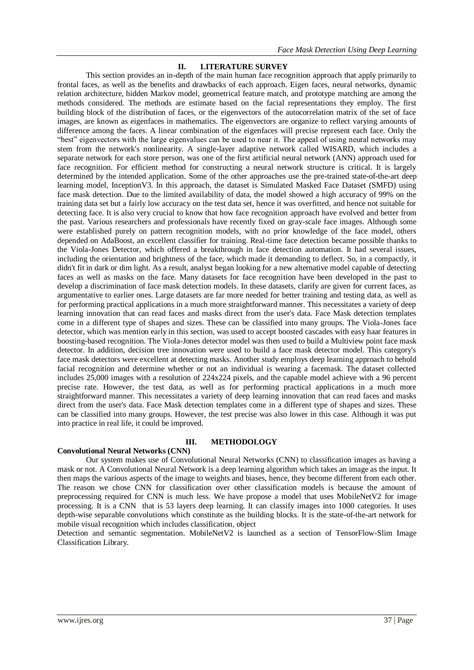## **II. LITERATURE SURVEY**

This section provides an in-depth of the main human face recognition approach that apply primarily to frontal faces, as well as the benefits and drawbacks of each approach. Eigen faces, neural networks, dynamic relation architecture, hidden Markov model, geometrical feature match, and prototype matching are among the methods considered. The methods are estimate based on the facial representations they employ. The first building block of the distribution of faces, or the eigenvectors of the autocorrelation matrix of the set of face images, are known as eigenfaces in mathematics. The eigenvectors are organize to reflect varying amounts of difference among the faces. A linear combination of the eigenfaces will precise represent each face. Only the "best" eigenvectors with the large eigenvalues can be used to near it. The appeal of using neural networks may stem from the network's nonlinearity. A single-layer adaptive network called WISARD, which includes a separate network for each store person, was one of the first artificial neural network (ANN) approach used for face recognition. For efficient method for constructing a neural network structure is critical. It is largely determined by the intended application. Some of the other approaches use the pre-trained state-of-the-art deep learning model, InceptionV3. In this approach, the dataset is Simulated Masked Face Dataset (SMFD) using face mask detection. Due to the limited availability of data, the model showed a high accuracy of 99% on the training data set but a fairly low accuracy on the test data set, hence it was overfitted, and hence not suitable for detecting face. It is also very crucial to know that how face recognition approach have evolved and better from the past. Various researchers and professionals have recently fixed on gray-scale face images. Although some were established purely on pattern recognition models, with no prior knowledge of the face model, others depended on AdaBoost, an excellent classifier for training. Real-time face detection became possible thanks to the Viola-Jones Detector, which offered a breakthrough in face detection automation. It had several issues, including the orientation and brightness of the face, which made it demanding to deflect. So, in a compactly, it didn't fit in dark or dim light. As a result, analyst began looking for a new alternative model capable of detecting faces as well as masks on the face. Many datasets for face recognition have been developed in the past to develop a discrimination of face mask detection models. In these datasets, clarify are given for current faces, as argumentative to earlier ones. Large datasets are far more needed for better training and testing data, as well as for performing practical applications in a much more straightforward manner. This necessitates a variety of deep learning innovation that can read faces and masks direct from the user's data. Face Mask detection templates come in a different type of shapes and sizes. These can be classified into many groups. The Viola-Jones face detector, which was mention early in this section, was used to accept boosted cascades with easy haar features in boosting-based recognition. The Viola-Jones detector model was then used to build a Multiview point face mask detector. In addition, decision tree innovation were used to build a face mask detector model. This category's face mask detectors were excellent at detecting masks. Another study employs deep learning approach to behold facial recognition and determine whether or not an individual is wearing a facemask. The dataset collected includes 25,000 images with a resolution of 224x224 pixels, and the capable model achieve with a 96 percent precise rate. However, the test data, as well as for performing practical applications in a much more straightforward manner. This necessitates a variety of deep learning innovation that can read faces and masks direct from the user's data. Face Mask detection templates come in a different type of shapes and sizes. These can be classified into many groups. However, the test precise was also lower in this case. Although it was put into practice in real life, it could be improved.

## **III. METHODOLOGY**

# **Convolutional Neural Networks (CNN)**

Our system makes use of Convolutional Neural Networks (CNN) to classification images as having a mask or not. A Convolutional Neural Network is a deep learning algorithm which takes an image as the input. It then maps the various aspects of the image to weights and biases, hence, they become different from each other. The reason we chose CNN for classification over other classification models is because the amount of preprocessing required for CNN is much less. We have propose a model that uses MobileNetV2 for image processing. It is a CNN that is 53 layers deep learning. It can classify images into 1000 categories. It uses depth-wise separable convolutions which constitute as the building blocks. It is the state-of-the-art network for mobile visual recognition which includes classification, object

Detection and semantic segmentation. MobileNetV2 is launched as a section of TensorFlow-Slim Image Classification Library.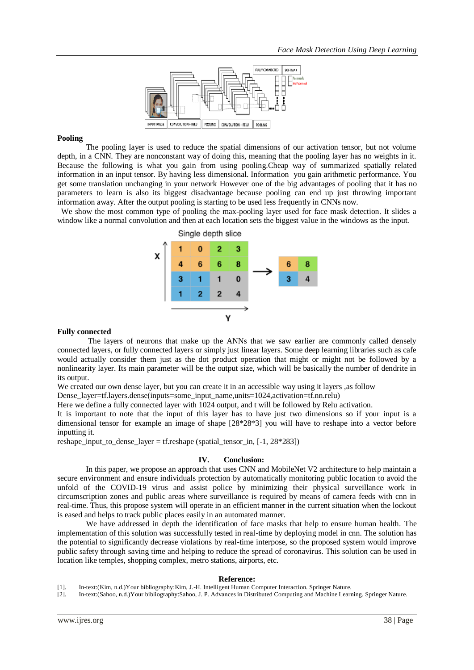

# **Pooling**

The pooling layer is used to reduce the spatial dimensions of our activation tensor, but not volume depth, in a CNN. They are nonconstant way of doing this, meaning that the pooling layer has no weights in it. Because the following is what you gain from using pooling.Cheap way of summarized spatially related information in an input tensor. By having less dimensional. Information you gain arithmetic performance. You get some translation unchanging in your network However one of the big advantages of pooling that it has no parameters to learn is also its biggest disadvantage because pooling can end up just throwing important information away. After the output pooling is starting to be used less frequently in CNNs now.

 We show the most common type of pooling the max-pooling layer used for face mask detection. It slides a window like a normal convolution and then at each location sets the biggest value in the windows as the input.



## **Fully connected**

The layers of neurons that make up the ANNs that we saw earlier are commonly called densely connected layers, or fully connected layers or simply just linear layers. Some deep learning libraries such as cafe would actually consider them just as the dot product operation that might or might not be followed by a nonlinearity layer. Its main parameter will be the output size, which will be basically the number of dendrite in its output.

We created our own dense layer, but you can create it in an accessible way using it layers ,as follow

Dense\_layer=tf.layers.dense(inputs=some\_input\_name,units=1024,activation=tf.nn.relu)

Here we define a fully connected layer with 1024 output, and t will be followed by Relu activation.

It is important to note that the input of this layer has to have just two dimensions so if your input is a dimensional tensor for example an image of shape [28\*28\*3] you will have to reshape into a vector before inputting it.

reshape input to dense layer = tf.reshape (spatial tensor in,  $[-1, 28*283]$ )

## **IV. Conclusion:**

In this paper, we propose an approach that uses CNN and MobileNet V2 architecture to help maintain a secure environment and ensure individuals protection by automatically monitoring public location to avoid the unfold of the COVID-19 virus and assist police by minimizing their physical surveillance work in circumscription zones and public areas where surveillance is required by means of camera feeds with cnn in real-time. Thus, this propose system will operate in an efficient manner in the current situation when the lockout is eased and helps to track public places easily in an automated manner.

We have addressed in depth the identification of face masks that help to ensure human health. The implementation of this solution was successfully tested in real-time by deploying model in cnn. The solution has the potential to significantly decrease violations by real-time interpose, so the proposed system would improve public safety through saving time and helping to reduce the spread of coronavirus. This solution can be used in location like temples, shopping complex, metro stations, airports, etc.

## **Reference:**

[1]. In-text:(Kim, n.d.)Your bibliography:Kim, J.-H. Intelligent Human Computer Interaction. Springer Nature.

[2]. In-text:(Sahoo, n.d.)Your bibliography:Sahoo, J. P. Advances in Distributed Computing and Machine Learning. Springer Nature.